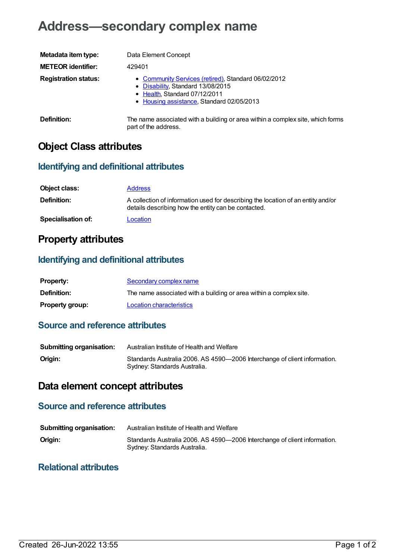# **Address—secondary complex name**

| Metadata item type:         | Data Element Concept                                                                                                                                                   |
|-----------------------------|------------------------------------------------------------------------------------------------------------------------------------------------------------------------|
| <b>METEOR identifier:</b>   | 429401                                                                                                                                                                 |
| <b>Registration status:</b> | • Community Services (retired), Standard 06/02/2012<br>• Disability, Standard 13/08/2015<br>• Health, Standard 07/12/2011<br>• Housing assistance, Standard 02/05/2013 |
| <b>Definition:</b>          | The name associated with a building or area within a complex site, which forms<br>part of the address.                                                                 |

## **Object Class attributes**

### **Identifying and definitional attributes**

| Object class:             | <b>Address</b>                                                                                                                          |
|---------------------------|-----------------------------------------------------------------------------------------------------------------------------------------|
| Definition:               | A collection of information used for describing the location of an entity and/or<br>details describing how the entity can be contacted. |
| <b>Specialisation of:</b> | Location                                                                                                                                |

### **Property attributes**

### **Identifying and definitional attributes**

| <b>Property:</b>       | Secondary complex name                                             |
|------------------------|--------------------------------------------------------------------|
| <b>Definition:</b>     | The name associated with a building or area within a complex site. |
| <b>Property group:</b> | Location characteristics                                           |

#### **Source and reference attributes**

| <b>Submitting organisation:</b> | Australian Institute of Health and Welfare                                                                |
|---------------------------------|-----------------------------------------------------------------------------------------------------------|
| Origin:                         | Standards Australia 2006. AS 4590-2006 Interchange of client information.<br>Sydney: Standards Australia. |

## **Data element concept attributes**

### **Source and reference attributes**

| <b>Submitting organisation:</b> | Australian Institute of Health and Welfare                                                                |
|---------------------------------|-----------------------------------------------------------------------------------------------------------|
| Origin:                         | Standards Australia 2006. AS 4590-2006 Interchange of client information.<br>Sydney: Standards Australia. |

#### **Relational attributes**